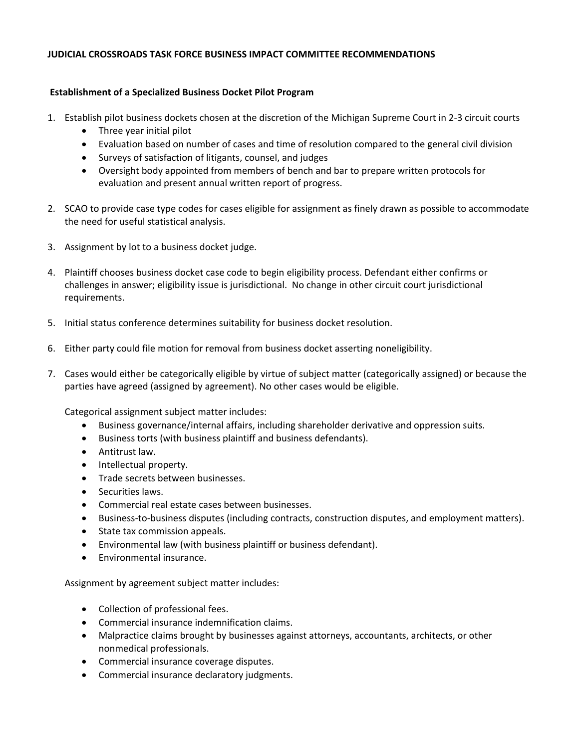## **JUDICIAL CROSSROADS TASK FORCE BUSINESS IMPACT COMMITTEE RECOMMENDATIONS**

## **Establishment of a Specialized Business Docket Pilot Program**

- 1. Establish pilot business dockets chosen at the discretion of the Michigan Supreme Court in 2‐3 circuit courts
	- Three year initial pilot
	- Evaluation based on number of cases and time of resolution compared to the general civil division
	- Surveys of satisfaction of litigants, counsel, and judges
	- Oversight body appointed from members of bench and bar to prepare written protocols for evaluation and present annual written report of progress.
- 2. SCAO to provide case type codes for cases eligible for assignment as finely drawn as possible to accommodate the need for useful statistical analysis.
- 3. Assignment by lot to a business docket judge.
- 4. Plaintiff chooses business docket case code to begin eligibility process. Defendant either confirms or challenges in answer; eligibility issue is jurisdictional. No change in other circuit court jurisdictional requirements.
- 5. Initial status conference determines suitability for business docket resolution.
- 6. Either party could file motion for removal from business docket asserting noneligibility.
- 7. Cases would either be categorically eligible by virtue of subject matter (categorically assigned) or because the parties have agreed (assigned by agreement). No other cases would be eligible.

Categorical assignment subject matter includes:

- Business governance/internal affairs, including shareholder derivative and oppression suits.
- Business torts (with business plaintiff and business defendants).
- Antitrust law.
- Intellectual property.
- **•** Trade secrets between businesses.
- Securities laws.
- Commercial real estate cases between businesses.
- Business‐to‐business disputes (including contracts, construction disputes, and employment matters).
- State tax commission appeals.
- Environmental law (with business plaintiff or business defendant).
- Environmental insurance.

Assignment by agreement subject matter includes:

- Collection of professional fees.
- Commercial insurance indemnification claims.
- Malpractice claims brought by businesses against attorneys, accountants, architects, or other nonmedical professionals.
- Commercial insurance coverage disputes.
- Commercial insurance declaratory judgments.